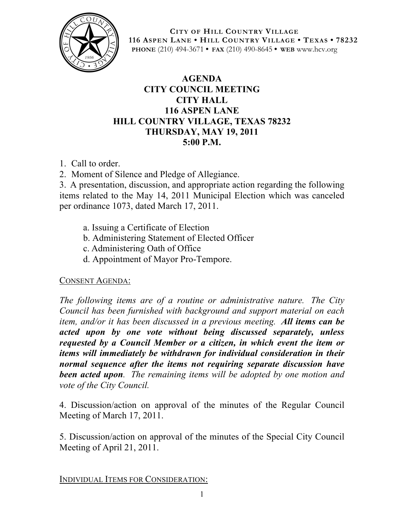

**CITY OF HILL COUNTRY VILLAGE 116 ASPEN LANE • HILL COUNTRY VILLAGE • TEXAS • 78232 PHONE** (210) 494-3671 **• FAX** (210) 490-8645 **• WEB** www.hcv.org

## **AGENDA CITY COUNCIL MEETING CITY HALL 116 ASPEN LANE HILL COUNTRY VILLAGE, TEXAS 78232 THURSDAY, MAY 19, 2011 5:00 P.M.**

- 1. Call to order.
- 2. Moment of Silence and Pledge of Allegiance.

3. A presentation, discussion, and appropriate action regarding the following items related to the May 14, 2011 Municipal Election which was canceled per ordinance 1073, dated March 17, 2011.

- a. Issuing a Certificate of Election
- b. Administering Statement of Elected Officer
- c. Administering Oath of Office
- d. Appointment of Mayor Pro-Tempore.

## CONSENT AGENDA:

*The following items are of a routine or administrative nature. The City Council has been furnished with background and support material on each item, and/or it has been discussed in a previous meeting. All items can be acted upon by one vote without being discussed separately, unless requested by a Council Member or a citizen, in which event the item or items will immediately be withdrawn for individual consideration in their normal sequence after the items not requiring separate discussion have been acted upon. The remaining items will be adopted by one motion and vote of the City Council.*

4. Discussion/action on approval of the minutes of the Regular Council Meeting of March 17, 2011.

5. Discussion/action on approval of the minutes of the Special City Council Meeting of April 21, 2011.

INDIVIDUAL ITEMS FOR CONSIDERATION: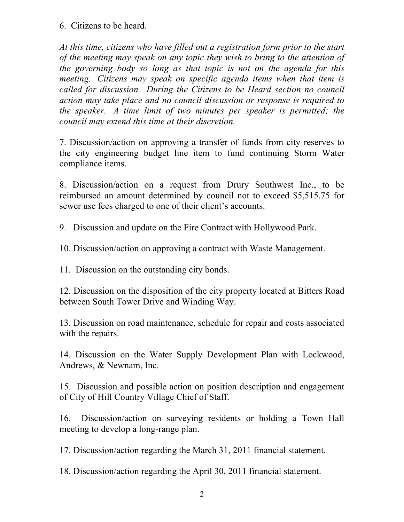6. Citizens to be heard.

*At this time, citizens who have filled out a registration form prior to the start of the meeting may speak on any topic they wish to bring to the attention of the governing body so long as that topic is not on the agenda for this meeting. Citizens may speak on specific agenda items when that item is called for discussion. During the Citizens to be Heard section no council action may take place and no council discussion or response is required to the speaker. A time limit of two minutes per speaker is permitted; the council may extend this time at their discretion.*

7. Discussion/action on approving a transfer of funds from city reserves to the city engineering budget line item to fund continuing Storm Water compliance items.

8. Discussion/action on a request from Drury Southwest Inc., to be reimbursed an amount determined by council not to exceed \$5,515.75 for sewer use fees charged to one of their client's accounts.

9. Discussion and update on the Fire Contract with Hollywood Park.

10. Discussion/action on approving a contract with Waste Management.

11. Discussion on the outstanding city bonds.

12. Discussion on the disposition of the city property located at Bitters Road between South Tower Drive and Winding Way.

13. Discussion on road maintenance, schedule for repair and costs associated with the repairs.

14. Discussion on the Water Supply Development Plan with Lockwood, Andrews, & Newnam, Inc.

15. Discussion and possible action on position description and engagement of City of Hill Country Village Chief of Staff.

16. Discussion/action on surveying residents or holding a Town Hall meeting to develop a long-range plan.

17. Discussion/action regarding the March 31, 2011 financial statement.

18. Discussion/action regarding the April 30, 2011 financial statement.